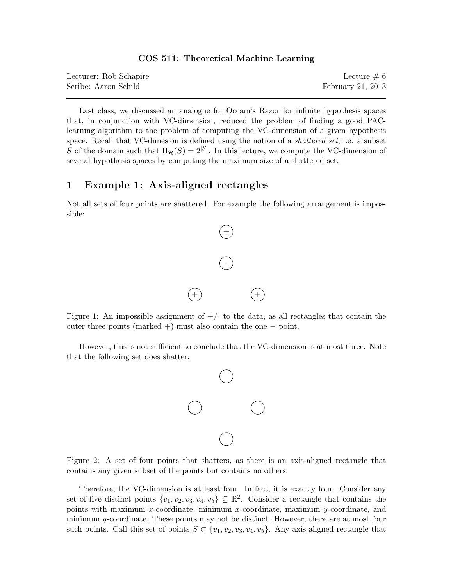#### COS 511: Theoretical Machine Learning

| Lecturer: Rob Schapire | Lecture $\# 6$    |
|------------------------|-------------------|
| Scribe: Aaron Schild   | February 21, 2013 |

Last class, we discussed an analogue for Occam's Razor for infinite hypothesis spaces that, in conjunction with VC-dimension, reduced the problem of finding a good PAClearning algorithm to the problem of computing the VC-dimension of a given hypothesis space. Recall that VC-dimesion is defined using the notion of a *shattered set*, i.e. a subset S of the domain such that  $\Pi_{\mathcal{H}}(S) = 2^{|S|}$ . In this lecture, we compute the VC-dimension of several hypothesis spaces by computing the maximum size of a shattered set.

## 1 Example 1: Axis-aligned rectangles

Not all sets of four points are shattered. For example the following arrangement is impossible:



Figure 1: An impossible assignment of  $+/-$  to the data, as all rectangles that contain the outer three points (marked +) must also contain the one − point.

However, this is not sufficient to conclude that the VC-dimension is at most three. Note that the following set does shatter:



Figure 2: A set of four points that shatters, as there is an axis-aligned rectangle that contains any given subset of the points but contains no others.

Therefore, the VC-dimension is at least four. In fact, it is exactly four. Consider any set of five distinct points  $\{v_1, v_2, v_3, v_4, v_5\} \subseteq \mathbb{R}^2$ . Consider a rectangle that contains the points with maximum x-coordinate, minimum x-coordinate, maximum y-coordinate, and minimum y-coordinate. These points may not be distinct. However, there are at most four such points. Call this set of points  $S \subset \{v_1, v_2, v_3, v_4, v_5\}$ . Any axis-aligned rectangle that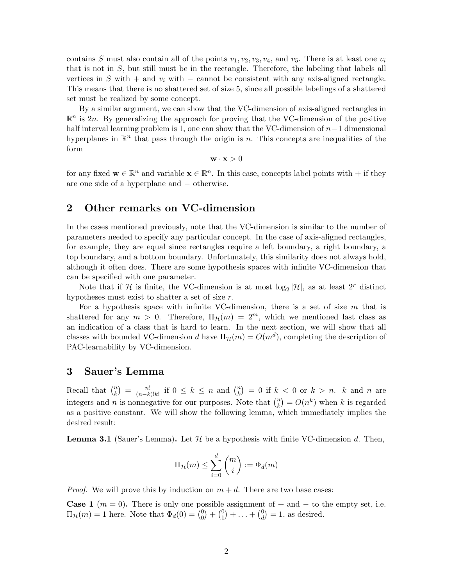contains S must also contain all of the points  $v_1, v_2, v_3, v_4$ , and  $v_5$ . There is at least one  $v_i$ that is not in S, but still must be in the rectangle. Therefore, the labeling that labels all vertices in S with + and  $v_i$  with – cannot be consistent with any axis-aligned rectangle. This means that there is no shattered set of size 5, since all possible labelings of a shattered set must be realized by some concept.

By a similar argument, we can show that the VC-dimension of axis-aligned rectangles in  $\mathbb{R}^n$  is 2n. By generalizing the approach for proving that the VC-dimension of the positive half interval learning problem is 1, one can show that the VC-dimension of  $n-1$  dimensional hyperplanes in  $\mathbb{R}^n$  that pass through the origin is n. This concepts are inequalities of the form

 $\mathbf{w} \cdot \mathbf{x} > 0$ 

for any fixed  $\mathbf{w} \in \mathbb{R}^n$  and variable  $\mathbf{x} \in \mathbb{R}^n$ . In this case, concepts label points with  $+$  if they are one side of a hyperplane and − otherwise.

## 2 Other remarks on VC-dimension

In the cases mentioned previously, note that the VC-dimension is similar to the number of parameters needed to specify any particular concept. In the case of axis-aligned rectangles, for example, they are equal since rectangles require a left boundary, a right boundary, a top boundary, and a bottom boundary. Unfortunately, this similarity does not always hold, although it often does. There are some hypothesis spaces with infinite VC-dimension that can be specified with one parameter.

Note that if H is finite, the VC-dimension is at most  $\log_2|\mathcal{H}|$ , as at least  $2^r$  distinct hypotheses must exist to shatter a set of size r.

For a hypothesis space with infinite VC-dimension, there is a set of size  $m$  that is shattered for any  $m > 0$ . Therefore,  $\Pi_{\mathcal{H}}(m) = 2^m$ , which we mentioned last class as an indication of a class that is hard to learn. In the next section, we will show that all classes with bounded VC-dimension d have  $\Pi_{\mathcal{H}}(m) = O(m^d)$ , completing the description of PAC-learnability by VC-dimension.

# 3 Sauer's Lemma

Recall that  $\binom{n}{k}$  $\binom{n}{k} = \frac{n!}{(n-k)!}$  $\frac{n!}{(n-k)!k!}$  if  $0 \leq k \leq n$  and  $\binom{n}{k}$  ${k \choose k} = 0$  if  $k < 0$  or  $k > n$ . k and n are integers and *n* is nonnegative for our purposes. Note that  $\binom{n}{k}$  ${k \choose k} = O(n^k)$  when k is regarded as a positive constant. We will show the following lemma, which immediately implies the desired result:

**Lemma 3.1** (Sauer's Lemma). Let  $\mathcal{H}$  be a hypothesis with finite VC-dimension d. Then,

$$
\Pi_{\mathcal{H}}(m) \leq \sum_{i=0}^{d} \binom{m}{i} := \Phi_d(m)
$$

*Proof.* We will prove this by induction on  $m + d$ . There are two base cases:

**Case 1** ( $m = 0$ ). There is only one possible assignment of + and - to the empty set, i.e.  $\Pi_{\mathcal{H}}(m) = 1$  here. Note that  $\Phi_d(0) = \begin{pmatrix} 0 \\ 0 \end{pmatrix}$  $\binom{0}{0} + \binom{0}{1}$  $\binom{0}{1} + \ldots + \binom{0}{d}$  $\binom{0}{d}$  = 1, as desired.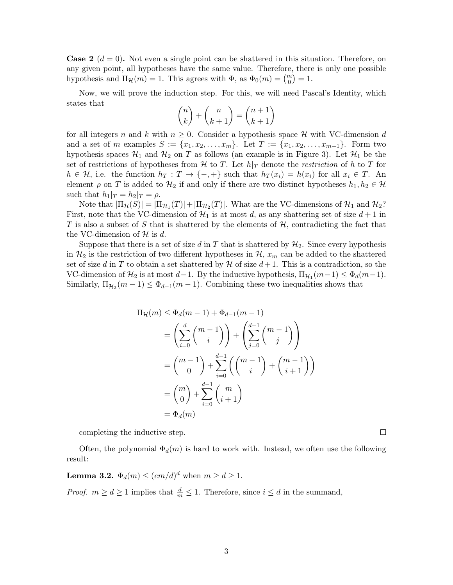**Case 2**  $(d = 0)$ . Not even a single point can be shattered in this situation. Therefore, on any given point, all hypotheses have the same value. Therefore, there is only one possible hypothesis and  $\Pi_{\mathcal{H}}(m) = 1$ . This agrees with  $\Phi$ , as  $\Phi_0(m) = \binom{m}{0} = 1$ .

Now, we will prove the induction step. For this, we will need Pascal's Identity, which states that

$$
\binom{n}{k} + \binom{n}{k+1} = \binom{n+1}{k+1}
$$

for all integers n and k with  $n \geq 0$ . Consider a hypothesis space H with VC-dimension d and a set of m examples  $S := \{x_1, x_2, \ldots, x_m\}$ . Let  $T := \{x_1, x_2, \ldots, x_{m-1}\}$ . Form two hypothesis spaces  $\mathcal{H}_1$  and  $\mathcal{H}_2$  on T as follows (an example is in Figure 3). Let  $\mathcal{H}_1$  be the set of restrictions of hypotheses from H to T. Let  $h|_T$  denote the restriction of h to T for  $h \in \mathcal{H}$ , i.e. the function  $h_T : T \to \{-, +\}$  such that  $h_T(x_i) = h(x_i)$  for all  $x_i \in T$ . An element  $\rho$  on T is added to  $\mathcal{H}_2$  if and only if there are two distinct hypotheses  $h_1, h_2 \in \mathcal{H}$ such that  $h_1|_T = h_2|_T = \rho$ .

Note that  $|\Pi_{\mathcal{H}}(S)| = |\Pi_{\mathcal{H}_1}(T)| + |\Pi_{\mathcal{H}_2}(T)|$ . What are the VC-dimensions of  $\mathcal{H}_1$  and  $\mathcal{H}_2$ ? First, note that the VC-dimension of  $\mathcal{H}_1$  is at most d, as any shattering set of size  $d+1$  in T is also a subset of S that is shattered by the elements of  $H$ , contradicting the fact that the VC-dimension of  $H$  is d.

Suppose that there is a set of size d in T that is shattered by  $\mathcal{H}_2$ . Since every hypothesis in  $\mathcal{H}_2$  is the restriction of two different hypotheses in  $\mathcal{H}$ ,  $x_m$  can be added to the shattered set of size d in T to obtain a set shattered by  $H$  of size  $d+1$ . This is a contradiction, so the VC-dimension of  $\mathcal{H}_2$  is at most  $d-1$ . By the inductive hypothesis,  $\Pi_{\mathcal{H}_1}(m-1) \leq \Phi_d(m-1)$ . Similarly,  $\Pi_{\mathcal{H}_2}(m-1) \leq \Phi_{d-1}(m-1)$ . Combining these two inequalities shows that

$$
\Pi_{\mathcal{H}}(m) \leq \Phi_d(m-1) + \Phi_{d-1}(m-1)
$$
\n
$$
= \left(\sum_{i=0}^d \binom{m-1}{i}\right) + \left(\sum_{j=0}^{d-1} \binom{m-1}{j}\right)
$$
\n
$$
= \binom{m-1}{0} + \sum_{i=0}^{d-1} \left(\binom{m-1}{i} + \binom{m-1}{i+1}\right)
$$
\n
$$
= \binom{m}{0} + \sum_{i=0}^{d-1} \binom{m}{i+1}
$$
\n
$$
= \Phi_d(m)
$$

completing the inductive step.

Often, the polynomial  $\Phi_d(m)$  is hard to work with. Instead, we often use the following result:

**Lemma 3.2.**  $\Phi_d(m) \leq (em/d)^d$  when  $m \geq d \geq 1$ .

*Proof.*  $m \geq d \geq 1$  implies that  $\frac{d}{m} \leq 1$ . Therefore, since  $i \leq d$  in the summand,

 $\Box$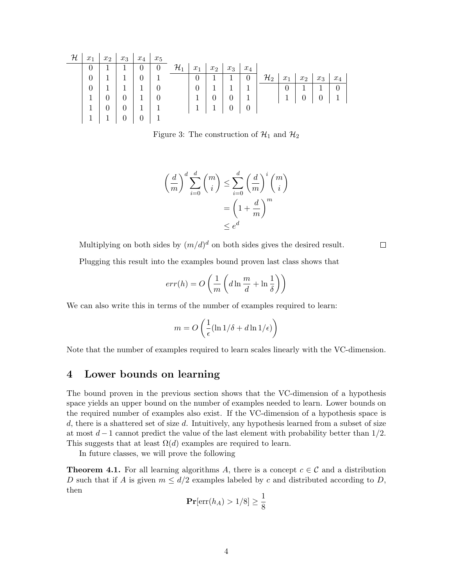| ${\mathcal H}$ | $x_1$          | $x_2$ | $x_3$       | $x_4$          | $x_5$    |                 |                  |                  |                  |                |                 |                |                  |                  |          |
|----------------|----------------|-------|-------------|----------------|----------|-----------------|------------------|------------------|------------------|----------------|-----------------|----------------|------------------|------------------|----------|
|                | $\theta$       |       | 1           | $\theta$       | $\theta$ | $\mathcal{H}_1$ | $x_1$            | $x_2$            | $x_3$            | $x_4$          |                 |                |                  |                  |          |
|                | $\overline{0}$ |       | $\mathbf 1$ | $\overline{0}$ |          |                 | $\boldsymbol{0}$ | 1                | 1                | $\theta$       | $\mathcal{H}_2$ | $x_1$          | x <sub>2</sub>   | $x_3$            | $x_4$    |
|                | $\theta$       |       |             |                | $\Omega$ |                 | $\overline{0}$   |                  | 1                |                |                 | $\overline{0}$ |                  |                  | $\Omega$ |
|                | $\mathbf{1}$   |       | $\theta$    |                | $\theta$ |                 | 1                | $\boldsymbol{0}$ | $\boldsymbol{0}$ |                |                 |                | $\boldsymbol{0}$ | $\boldsymbol{0}$ |          |
|                | $\mathbf 1$    |       | $\theta$    |                |          |                 |                  |                  | $\boldsymbol{0}$ | $\overline{0}$ |                 |                |                  |                  |          |
|                | 1              |       |             |                |          |                 |                  |                  |                  |                |                 |                |                  |                  |          |

Figure 3: The construction of  $\mathcal{H}_1$  and  $\mathcal{H}_2$ 

$$
\left(\frac{d}{m}\right)^d \sum_{i=0}^d {m \choose i} \le \sum_{i=0}^d \left(\frac{d}{m}\right)^i {m \choose i}
$$

$$
= \left(1 + \frac{d}{m}\right)^m
$$

$$
\le e^d
$$

Multiplying on both sides by  $(m/d)^d$  on both sides gives the desired result.

Plugging this result into the examples bound proven last class shows that

$$
err(h) = O\left(\frac{1}{m}\left(d\ln\frac{m}{d} + \ln\frac{1}{\delta}\right)\right)
$$

 $\Box$ 

We can also write this in terms of the number of examples required to learn:

$$
m = O\left(\frac{1}{\epsilon}(\ln 1/\delta + d\ln 1/\epsilon)\right)
$$

Note that the number of examples required to learn scales linearly with the VC-dimension.

## 4 Lower bounds on learning

The bound proven in the previous section shows that the VC-dimension of a hypothesis space yields an upper bound on the number of examples needed to learn. Lower bounds on the required number of examples also exist. If the VC-dimension of a hypothesis space is  $d$ , there is a shattered set of size  $d$ . Intuitively, any hypothesis learned from a subset of size at most  $d-1$  cannot predict the value of the last element with probability better than  $1/2$ . This suggests that at least  $\Omega(d)$  examples are required to learn.

In future classes, we will prove the following

**Theorem 4.1.** For all learning algorithms A, there is a concept  $c \in \mathcal{C}$  and a distribution D such that if A is given  $m \leq d/2$  examples labeled by c and distributed according to D, then

$$
\mathbf{Pr}[\text{err}(h_A) > 1/8] \ge \frac{1}{8}
$$